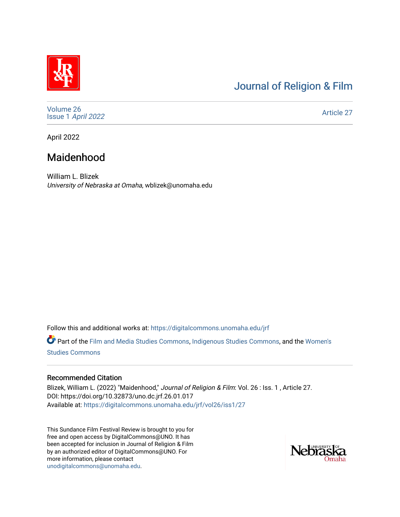# [Journal of Religion & Film](https://digitalcommons.unomaha.edu/jrf)

[Volume 26](https://digitalcommons.unomaha.edu/jrf/vol26) Issue 1 [April 2022](https://digitalcommons.unomaha.edu/jrf/vol26/iss1) 

[Article 27](https://digitalcommons.unomaha.edu/jrf/vol26/iss1/27) 

April 2022

# Maidenhood

William L. Blizek University of Nebraska at Omaha, wblizek@unomaha.edu

Follow this and additional works at: [https://digitalcommons.unomaha.edu/jrf](https://digitalcommons.unomaha.edu/jrf?utm_source=digitalcommons.unomaha.edu%2Fjrf%2Fvol26%2Fiss1%2F27&utm_medium=PDF&utm_campaign=PDFCoverPages)

Part of the [Film and Media Studies Commons,](http://network.bepress.com/hgg/discipline/563?utm_source=digitalcommons.unomaha.edu%2Fjrf%2Fvol26%2Fiss1%2F27&utm_medium=PDF&utm_campaign=PDFCoverPages) [Indigenous Studies Commons,](http://network.bepress.com/hgg/discipline/571?utm_source=digitalcommons.unomaha.edu%2Fjrf%2Fvol26%2Fiss1%2F27&utm_medium=PDF&utm_campaign=PDFCoverPages) and the [Women's](http://network.bepress.com/hgg/discipline/561?utm_source=digitalcommons.unomaha.edu%2Fjrf%2Fvol26%2Fiss1%2F27&utm_medium=PDF&utm_campaign=PDFCoverPages)  [Studies Commons](http://network.bepress.com/hgg/discipline/561?utm_source=digitalcommons.unomaha.edu%2Fjrf%2Fvol26%2Fiss1%2F27&utm_medium=PDF&utm_campaign=PDFCoverPages) 

#### Recommended Citation

Blizek, William L. (2022) "Maidenhood," Journal of Religion & Film: Vol. 26 : Iss. 1, Article 27. DOI: https://doi.org/10.32873/uno.dc.jrf.26.01.017 Available at: [https://digitalcommons.unomaha.edu/jrf/vol26/iss1/27](https://digitalcommons.unomaha.edu/jrf/vol26/iss1/27?utm_source=digitalcommons.unomaha.edu%2Fjrf%2Fvol26%2Fiss1%2F27&utm_medium=PDF&utm_campaign=PDFCoverPages) 

This Sundance Film Festival Review is brought to you for free and open access by DigitalCommons@UNO. It has been accepted for inclusion in Journal of Religion & Film by an authorized editor of DigitalCommons@UNO. For more information, please contact [unodigitalcommons@unomaha.edu.](mailto:unodigitalcommons@unomaha.edu)

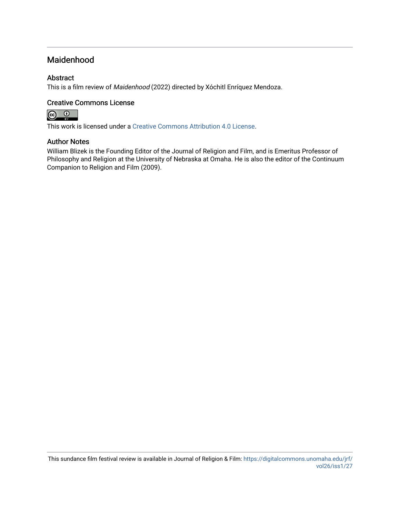## Maidenhood

### Abstract

This is a film review of Maidenhood (2022) directed by Xóchitl Enríquez Mendoza.

### Creative Commons License



This work is licensed under a [Creative Commons Attribution 4.0 License](https://creativecommons.org/licenses/by/4.0/).

#### Author Notes

William Blizek is the Founding Editor of the Journal of Religion and Film, and is Emeritus Professor of Philosophy and Religion at the University of Nebraska at Omaha. He is also the editor of the Continuum Companion to Religion and Film (2009).